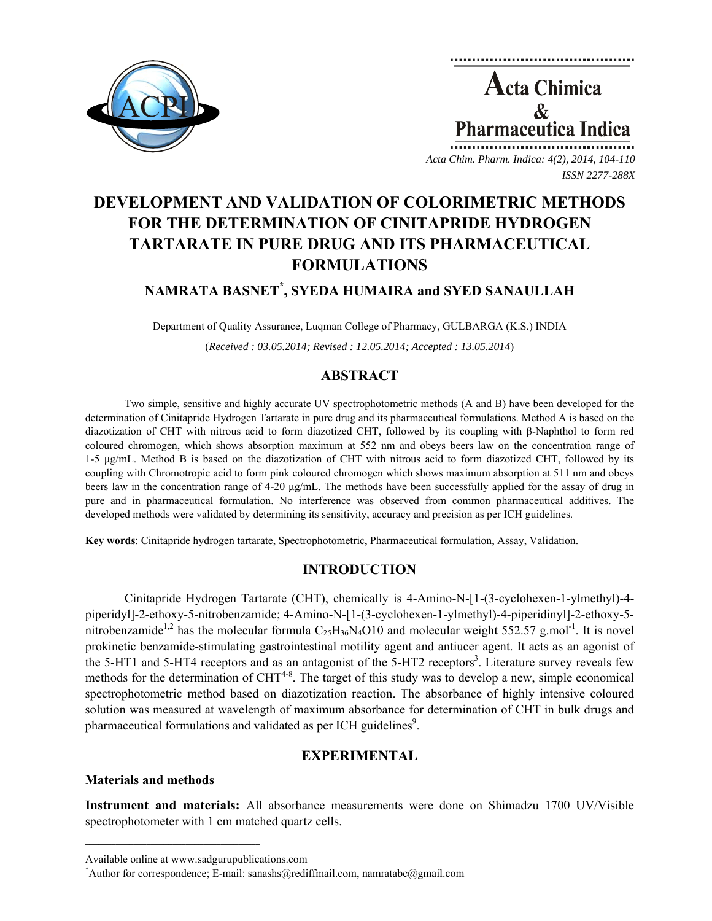

**Acta Chimica**  $\mathcal{R}_{\mathcal{L}}$ **Pharmaceutica Indica** 

*Acta Chim. Pharm. Indica: 4(2), 2014, 104-110 ISSN 2277-288X*

# **DEVELOPMENT AND VALIDATION OF COLORIMETRIC METHODS FOR THE DETERMINATION OF CINITAPRIDE HYDROGEN TARTARATE IN PURE DRUG AND ITS PHARMACEUTICAL FORMULATIONS**

## **NAMRATA BASNET\* , SYEDA HUMAIRA and SYED SANAULLAH**

Department of Quality Assurance, Luqman College of Pharmacy, GULBARGA (K.S.) INDIA

(*Received : 03.05.2014; Revised : 12.05.2014; Accepted : 13.05.2014*)

## **ABSTRACT**

Two simple, sensitive and highly accurate UV spectrophotometric methods (A and B) have been developed for the determination of Cinitapride Hydrogen Tartarate in pure drug and its pharmaceutical formulations. Method A is based on the diazotization of CHT with nitrous acid to form diazotized CHT, followed by its coupling with β-Naphthol to form red coloured chromogen, which shows absorption maximum at 552 nm and obeys beers law on the concentration range of 1-5 μg/mL. Method B is based on the diazotization of CHT with nitrous acid to form diazotized CHT, followed by its coupling with Chromotropic acid to form pink coloured chromogen which shows maximum absorption at 511 nm and obeys beers law in the concentration range of 4-20  $\mu g/mL$ . The methods have been successfully applied for the assay of drug in pure and in pharmaceutical formulation. No interference was observed from common pharmaceutical additives. The developed methods were validated by determining its sensitivity, accuracy and precision as per ICH guidelines.

**Key words**: Cinitapride hydrogen tartarate, Spectrophotometric, Pharmaceutical formulation, Assay, Validation.

## **INTRODUCTION**

Cinitapride Hydrogen Tartarate (CHT), chemically is 4-Amino-N-[1-(3-cyclohexen-1-ylmethyl)-4 piperidyl]-2-ethoxy-5-nitrobenzamide; 4-Amino-N-[1-(3-cyclohexen-1-ylmethyl)-4-piperidinyl]-2-ethoxy-5 nitrobenzamide<sup>1,2</sup> has the molecular formula  $C_{25}H_{36}N_4O10$  and molecular weight 552.57 g.mol<sup>-1</sup>. It is novel prokinetic benzamide-stimulating gastrointestinal motility agent and antiucer agent. It acts as an agonist of the 5-HT1 and 5-HT4 receptors and as an antagonist of the  $5$ -HT2 receptors<sup>3</sup>. Literature survey reveals few methods for the determination of  $CHT^{4-8}$ . The target of this study was to develop a new, simple economical spectrophotometric method based on diazotization reaction. The absorbance of highly intensive coloured solution was measured at wavelength of maximum absorbance for determination of CHT in bulk drugs and pharmaceutical formulations and validated as per ICH guidelines<sup>9</sup>.

## **EXPERIMENTAL**

### **Materials and methods**

**Instrument and materials:** All absorbance measurements were done on Shimadzu 1700 UV/Visible spectrophotometer with 1 cm matched quartz cells.

 $\mathcal{L} = \{ \mathcal{L} \}$ 

Available online at www.sadgurupublications.com \*

<sup>\*</sup>Author for correspondence; E-mail: sanashs@rediffmail.com, namratabc@gmail.com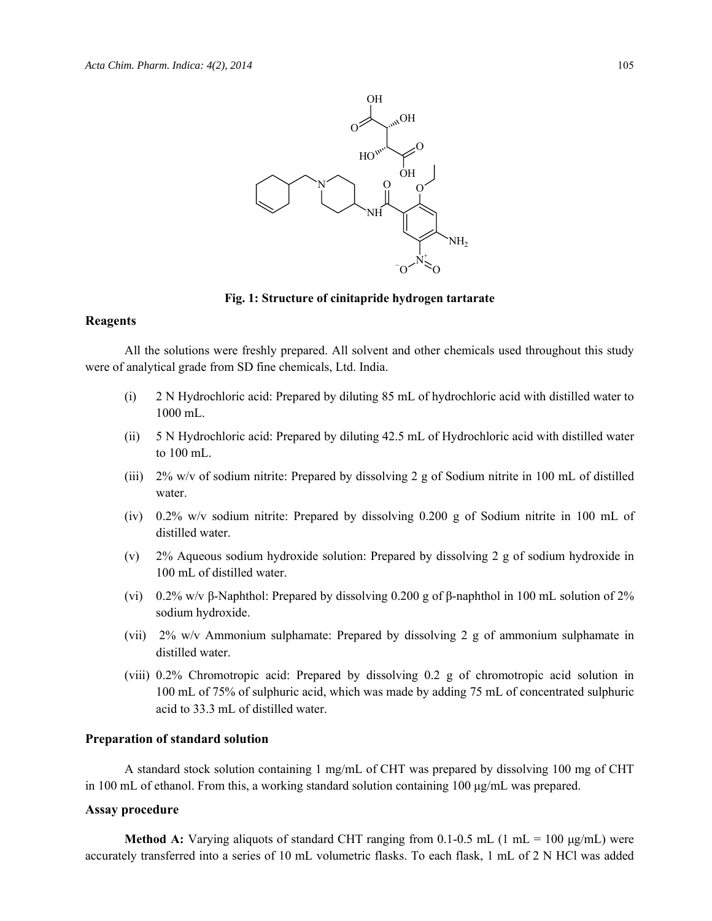

#### **Fig. 1: Structure of cinitapride hydrogen tartarate**

#### **Reagents**

All the solutions were freshly prepared. All solvent and other chemicals used throughout this study were of analytical grade from SD fine chemicals, Ltd. India.

- (i) 2 N Hydrochloric acid: Prepared by diluting 85 mL of hydrochloric acid with distilled water to 1000 mL.
- (ii) 5 N Hydrochloric acid: Prepared by diluting 42.5 mL of Hydrochloric acid with distilled water to 100 mL.
- (iii) 2% w/v of sodium nitrite: Prepared by dissolving 2 g of Sodium nitrite in 100 mL of distilled water.
- (iv) 0.2% w/v sodium nitrite: Prepared by dissolving 0.200 g of Sodium nitrite in 100 mL of distilled water.
- (v) 2% Aqueous sodium hydroxide solution: Prepared by dissolving 2 g of sodium hydroxide in 100 mL of distilled water.
- (vi) 0.2% w/v β-Naphthol: Prepared by dissolving 0.200 g of β-naphthol in 100 mL solution of 2% sodium hydroxide.
- (vii) 2% w/v Ammonium sulphamate: Prepared by dissolving 2 g of ammonium sulphamate in distilled water.
- (viii) 0.2% Chromotropic acid: Prepared by dissolving 0.2 g of chromotropic acid solution in 100 mL of 75% of sulphuric acid, which was made by adding 75 mL of concentrated sulphuric acid to 33.3 mL of distilled water.

#### **Preparation of standard solution**

A standard stock solution containing 1 mg/mL of CHT was prepared by dissolving 100 mg of CHT in 100 mL of ethanol. From this, a working standard solution containing 100  $\mu$ g/mL was prepared.

#### **Assay procedure**

**Method A:** Varying aliquots of standard CHT ranging from  $0.1{\text -}0.5$  mL (1 mL = 100  $\mu$ g/mL) were accurately transferred into a series of 10 mL volumetric flasks. To each flask, 1 mL of 2 N HCl was added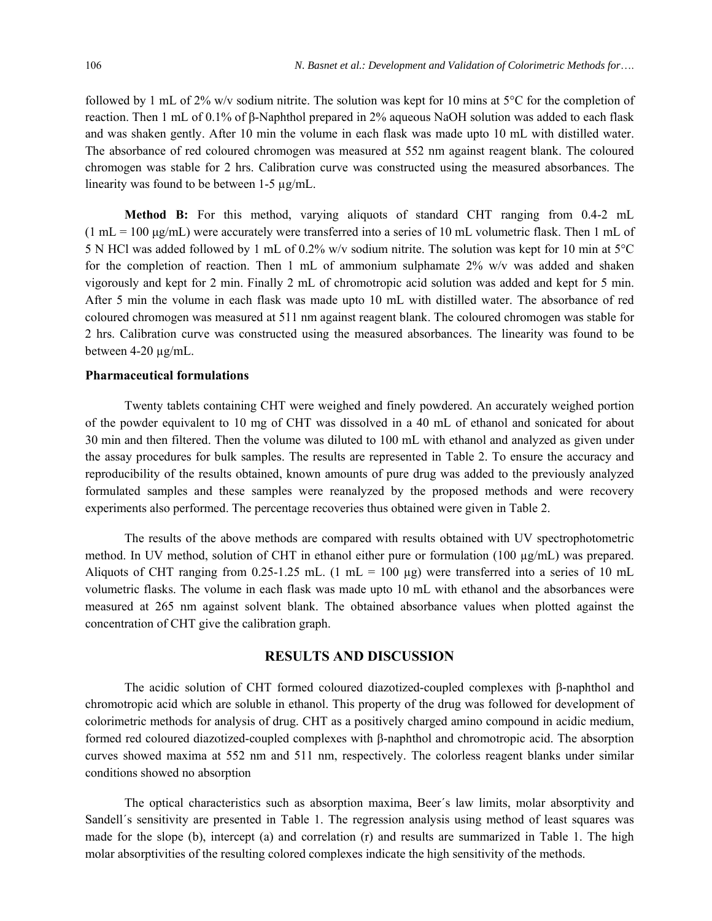followed by 1 mL of 2% w/v sodium nitrite. The solution was kept for 10 mins at 5 $\degree$ C for the completion of reaction. Then 1 mL of 0.1% of β-Naphthol prepared in 2% aqueous NaOH solution was added to each flask and was shaken gently. After 10 min the volume in each flask was made upto 10 mL with distilled water. The absorbance of red coloured chromogen was measured at 552 nm against reagent blank. The coloured chromogen was stable for 2 hrs. Calibration curve was constructed using the measured absorbances. The linearity was found to be between 1-5 µg/mL.

**Method B:** For this method, varying aliquots of standard CHT ranging from 0.4-2 mL  $(1 \text{ mL} = 100 \text{ µg/mL})$  were accurately were transferred into a series of 10 mL volumetric flask. Then 1 mL of 5 N HCl was added followed by 1 mL of 0.2% w/v sodium nitrite. The solution was kept for 10 min at 5°C for the completion of reaction. Then 1 mL of ammonium sulphamate  $2\%$  w/v was added and shaken vigorously and kept for 2 min. Finally 2 mL of chromotropic acid solution was added and kept for 5 min. After 5 min the volume in each flask was made upto 10 mL with distilled water. The absorbance of red coloured chromogen was measured at 511 nm against reagent blank. The coloured chromogen was stable for 2 hrs. Calibration curve was constructed using the measured absorbances. The linearity was found to be between 4-20 µg/mL.

#### **Pharmaceutical formulations**

Twenty tablets containing CHT were weighed and finely powdered. An accurately weighed portion of the powder equivalent to 10 mg of CHT was dissolved in a 40 mL of ethanol and sonicated for about 30 min and then filtered. Then the volume was diluted to 100 mL with ethanol and analyzed as given under the assay procedures for bulk samples. The results are represented in Table 2. To ensure the accuracy and reproducibility of the results obtained, known amounts of pure drug was added to the previously analyzed formulated samples and these samples were reanalyzed by the proposed methods and were recovery experiments also performed. The percentage recoveries thus obtained were given in Table 2.

The results of the above methods are compared with results obtained with UV spectrophotometric method. In UV method, solution of CHT in ethanol either pure or formulation (100 µg/mL) was prepared. Aliquots of CHT ranging from 0.25-1.25 mL. (1 mL = 100 µg) were transferred into a series of 10 mL volumetric flasks. The volume in each flask was made upto 10 mL with ethanol and the absorbances were measured at 265 nm against solvent blank. The obtained absorbance values when plotted against the concentration of CHT give the calibration graph.

#### **RESULTS AND DISCUSSION**

The acidic solution of CHT formed coloured diazotized-coupled complexes with β-naphthol and chromotropic acid which are soluble in ethanol. This property of the drug was followed for development of colorimetric methods for analysis of drug. CHT as a positively charged amino compound in acidic medium, formed red coloured diazotized-coupled complexes with β-naphthol and chromotropic acid. The absorption curves showed maxima at 552 nm and 511 nm, respectively. The colorless reagent blanks under similar conditions showed no absorption

The optical characteristics such as absorption maxima, Beer´s law limits, molar absorptivity and Sandell´s sensitivity are presented in Table 1. The regression analysis using method of least squares was made for the slope (b), intercept (a) and correlation (r) and results are summarized in Table 1. The high molar absorptivities of the resulting colored complexes indicate the high sensitivity of the methods.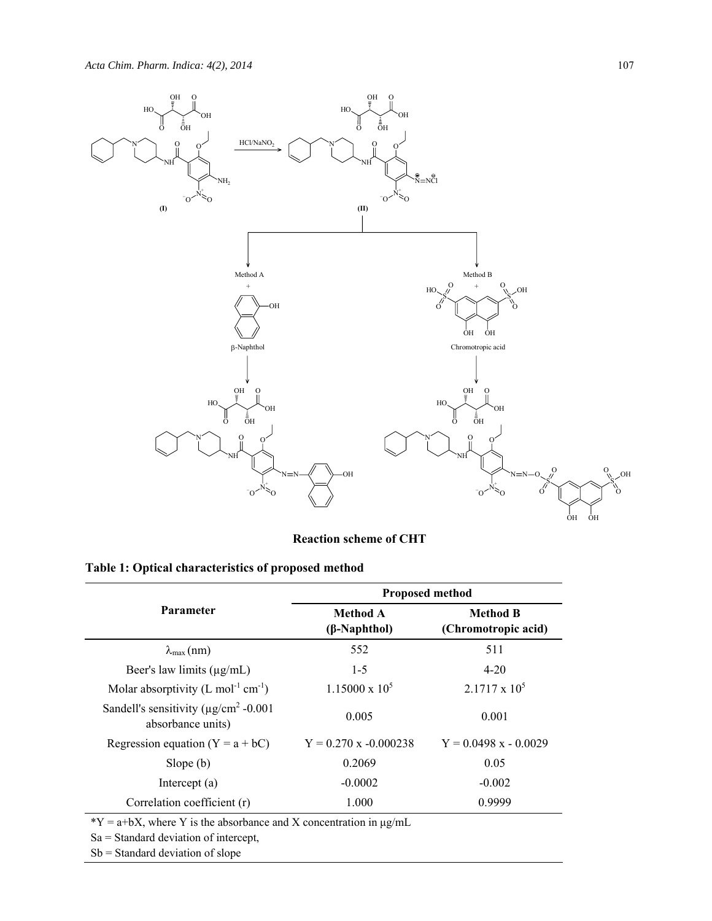

**Reaction scheme of CHT** 

|  | Table 1: Optical characteristics of proposed method |  |  |
|--|-----------------------------------------------------|--|--|
|--|-----------------------------------------------------|--|--|

|                                                                             | <b>Proposed method</b>          |                                        |  |  |
|-----------------------------------------------------------------------------|---------------------------------|----------------------------------------|--|--|
| <b>Parameter</b>                                                            | Method A<br>$(\beta$ -Naphthol) | <b>Method B</b><br>(Chromotropic acid) |  |  |
| $\lambda_{\max}$ (nm)                                                       | 552                             | 511                                    |  |  |
| Beer's law limits $(\mu g/mL)$                                              | $1 - 5$                         | $4 - 20$                               |  |  |
| Molar absorptivity $(L \text{ mol}^{-1} \text{ cm}^{-1})$                   | $1.15000 \times 10^5$           | $2.1717 \times 10^5$                   |  |  |
| Sandell's sensitivity ( $\mu$ g/cm <sup>2</sup> -0.001<br>absorbance units) | 0.005                           | 0.001                                  |  |  |
| Regression equation $(Y = a + bC)$                                          | $Y = 0.270$ x -0.000238         | $Y = 0.0498 x - 0.0029$                |  |  |
| Slope $(b)$                                                                 | 0.2069                          | 0.05                                   |  |  |
| Intercept $(a)$                                                             | $-0.0002$                       | $-0.002$                               |  |  |
| Correlation coefficient (r)                                                 | 1.000                           | 0.9999                                 |  |  |

 $*Y = a+bX$ , where Y is the absorbance and X concentration in  $\mu g/mL$ 

Sa = Standard deviation of intercept,

Sb = Standard deviation of slope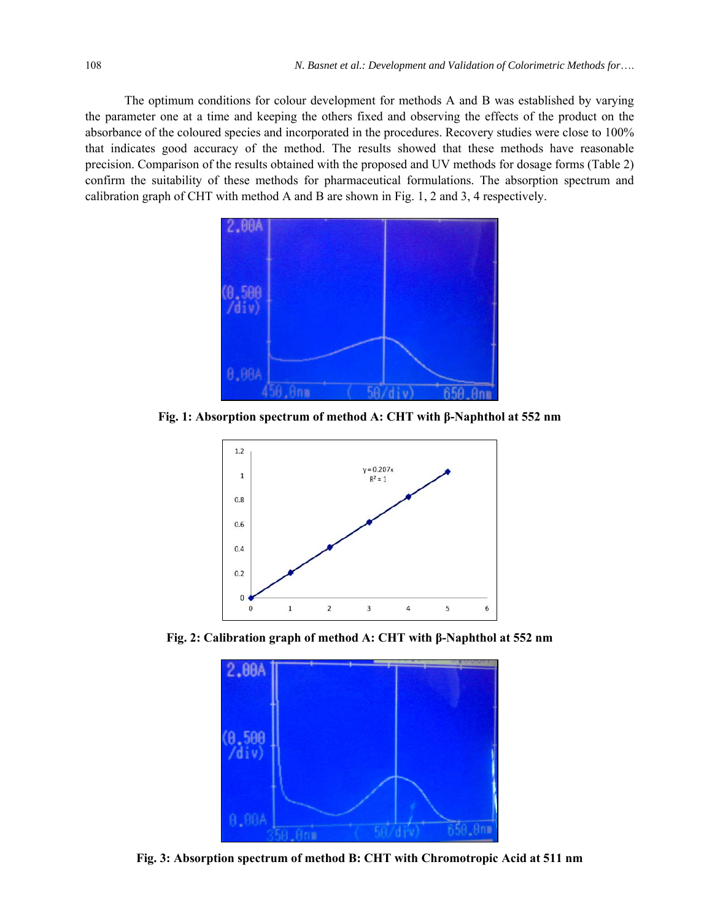The optimum conditions for colour development for methods A and B was established by varying the parameter one at a time and keeping the others fixed and observing the effects of the product on the absorbance of the coloured species and incorporated in the procedures. Recovery studies were close to 100% that indicates good accuracy of the method. The results showed that these methods have reasonable precision. Comparison of the results obtained with the proposed and UV methods for dosage forms (Table 2) confirm the suitability of these methods for pharmaceutical formulations. The absorption spectrum and calibration graph of CHT with method A and B are shown in Fig. 1, 2 and 3, 4 respectively.



**Fig. 1: Absorption spectrum of method A: CHT with β-Naphthol at 552 nm** 



**Fig. 2: Calibration graph of method A: CHT with β-Naphthol at 552 nm** 



**Fig. 3: Absorption spectrum of method B: CHT with Chromotropic Acid at 511 nm**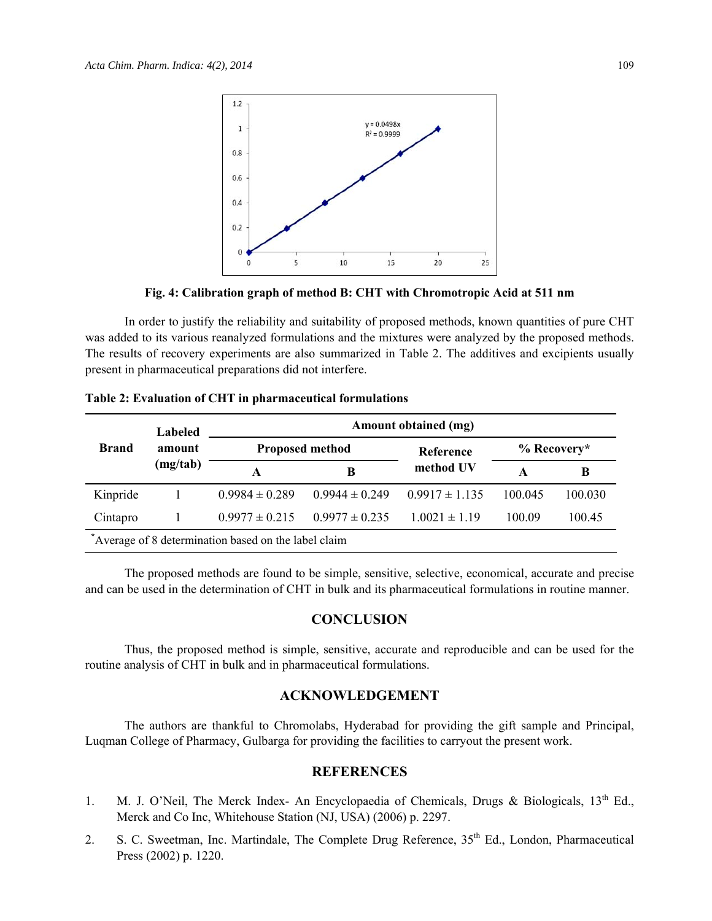

**Fig. 4: Calibration graph of method B: CHT with Chromotropic Acid at 511 nm** 

In order to justify the reliability and suitability of proposed methods, known quantities of pure CHT was added to its various reanalyzed formulations and the mixtures were analyzed by the proposed methods. The results of recovery experiments are also summarized in Table 2. The additives and excipients usually present in pharmaceutical preparations did not interfere.

| <b>Brand</b>                                        | Labeled<br>amount<br>(mg/tab) | Amount obtained (mg)   |                    |                    |               |         |  |
|-----------------------------------------------------|-------------------------------|------------------------|--------------------|--------------------|---------------|---------|--|
|                                                     |                               | <b>Proposed method</b> |                    | <b>Reference</b>   | $%$ Recovery* |         |  |
|                                                     |                               | A                      | B                  | method UV          | A             | B       |  |
| Kinpride                                            |                               | $0.9984 \pm 0.289$     | $0.9944 \pm 0.249$ | $0.9917 \pm 1.135$ | 100.045       | 100.030 |  |
| Cintapro                                            |                               | $0.9977 \pm 0.215$     | $0.9977 \pm 0.235$ | $1.0021 \pm 1.19$  | 100.09        | 100.45  |  |
| Average of 8 determination based on the label claim |                               |                        |                    |                    |               |         |  |

**Table 2: Evaluation of CHT in pharmaceutical formulations** 

The proposed methods are found to be simple, sensitive, selective, economical, accurate and precise and can be used in the determination of CHT in bulk and its pharmaceutical formulations in routine manner.

#### **CONCLUSION**

Thus, the proposed method is simple, sensitive, accurate and reproducible and can be used for the routine analysis of CHT in bulk and in pharmaceutical formulations.

#### **ACKNOWLEDGEMENT**

The authors are thankful to Chromolabs, Hyderabad for providing the gift sample and Principal, Luqman College of Pharmacy, Gulbarga for providing the facilities to carryout the present work.

#### **REFERENCES**

- 1. M. J. O'Neil, The Merck Index- An Encyclopaedia of Chemicals, Drugs & Biologicals, 13<sup>th</sup> Ed., Merck and Co Inc, Whitehouse Station (NJ, USA) (2006) p. 2297.
- 2. S. C. Sweetman, Inc. Martindale, The Complete Drug Reference, 35<sup>th</sup> Ed., London, Pharmaceutical Press (2002) p. 1220.